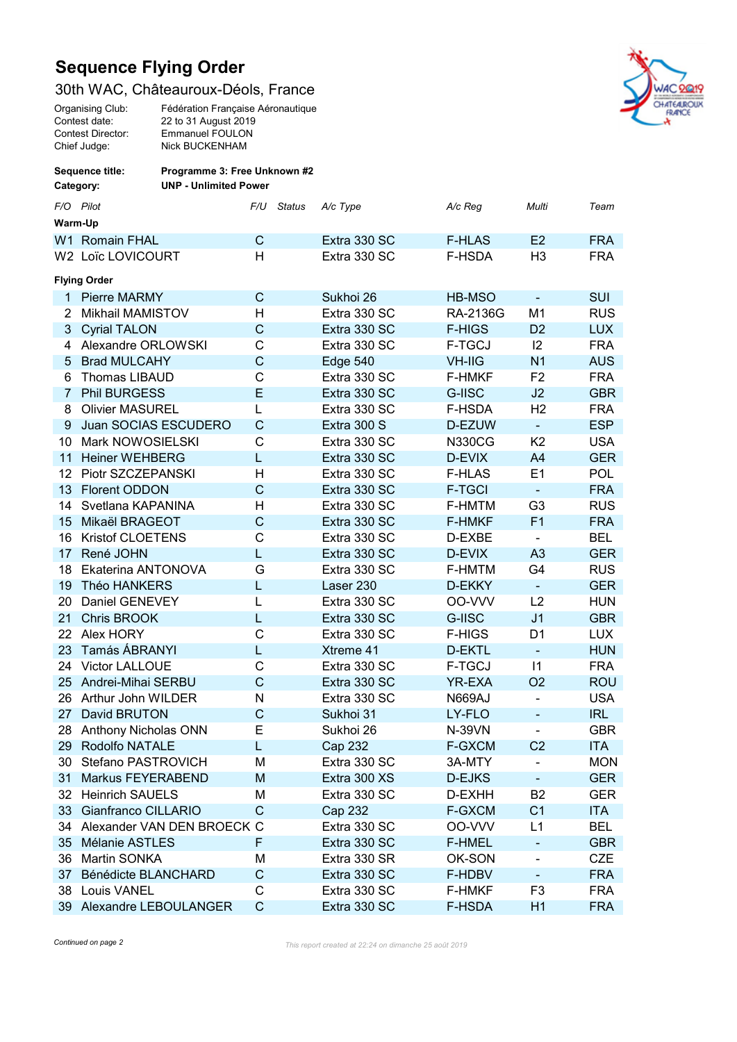## Sequence Flying Order

## 30th WAC, Châteauroux-Déols, France





| Sequence title:<br>Category: |                            | Programme 3: Free Unknown #2<br><b>UNP - Unlimited Power</b> |              |               |                |               |                              |            |  |  |  |  |
|------------------------------|----------------------------|--------------------------------------------------------------|--------------|---------------|----------------|---------------|------------------------------|------------|--|--|--|--|
|                              | F/O Pilot                  |                                                              | F/U          | <b>Status</b> | A/c Type       | A/c Reg       | Multi                        | Team       |  |  |  |  |
| Warm-Up                      |                            |                                                              |              |               |                |               |                              |            |  |  |  |  |
|                              | W1 Romain FHAL             |                                                              | C            |               | Extra 330 SC   | <b>F-HLAS</b> | E2                           | <b>FRA</b> |  |  |  |  |
|                              | W2 Loïc LOVICOURT          |                                                              | H            |               | Extra 330 SC   | F-HSDA        | H <sub>3</sub>               | <b>FRA</b> |  |  |  |  |
| <b>Flying Order</b>          |                            |                                                              |              |               |                |               |                              |            |  |  |  |  |
| 1.                           | <b>Pierre MARMY</b>        |                                                              | C            |               | Sukhoi 26      | HB-MSO        | $\blacksquare$               | <b>SUI</b> |  |  |  |  |
| 2                            | <b>Mikhail MAMISTOV</b>    |                                                              | н            |               | Extra 330 SC   | RA-2136G      | M1                           | <b>RUS</b> |  |  |  |  |
| 3                            | <b>Cyrial TALON</b>        |                                                              | $\mathsf{C}$ |               | Extra 330 SC   | <b>F-HIGS</b> | D <sub>2</sub>               | <b>LUX</b> |  |  |  |  |
| 4                            | Alexandre ORLOWSKI         |                                                              | C            |               | Extra 330 SC   | F-TGCJ        | 12                           | <b>FRA</b> |  |  |  |  |
| 5                            | <b>Brad MULCAHY</b>        |                                                              | $\mathsf{C}$ |               | Edge 540       | <b>VH-IIG</b> | N <sub>1</sub>               | <b>AUS</b> |  |  |  |  |
| 6                            | Thomas LIBAUD              |                                                              | C            |               | Extra 330 SC   | <b>F-HMKF</b> | F <sub>2</sub>               | <b>FRA</b> |  |  |  |  |
| $\overline{7}$               | <b>Phil BURGESS</b>        |                                                              | E            |               | Extra 330 SC   | G-IISC        | J <sub>2</sub>               | <b>GBR</b> |  |  |  |  |
| 8                            | <b>Olivier MASUREL</b>     |                                                              | L            |               | Extra 330 SC   | F-HSDA        | H <sub>2</sub>               | <b>FRA</b> |  |  |  |  |
| 9                            | Juan SOCIAS ESCUDERO       |                                                              | $\mathsf{C}$ |               | Extra 300 S    | D-EZUW        | $\blacksquare$               | <b>ESP</b> |  |  |  |  |
| 10                           | Mark NOWOSIELSKI           |                                                              | C            |               | Extra 330 SC   | <b>N330CG</b> | K <sub>2</sub>               | <b>USA</b> |  |  |  |  |
| 11                           | <b>Heiner WEHBERG</b>      |                                                              | L            |               | Extra 330 SC   | D-EVIX        | A4                           | <b>GER</b> |  |  |  |  |
| 12                           | Piotr SZCZEPANSKI          |                                                              | H            |               | Extra 330 SC   | <b>F-HLAS</b> | E1                           | <b>POL</b> |  |  |  |  |
| 13                           | <b>Florent ODDON</b>       |                                                              | $\mathsf{C}$ |               | Extra 330 SC   | <b>F-TGCI</b> | $\blacksquare$               | <b>FRA</b> |  |  |  |  |
| 14                           | Svetlana KAPANINA          |                                                              | Н            |               | Extra 330 SC   | F-HMTM        | G <sub>3</sub>               | <b>RUS</b> |  |  |  |  |
| 15                           | Mikaël BRAGEOT             |                                                              | $\mathsf{C}$ |               | Extra 330 SC   | <b>F-HMKF</b> | F <sub>1</sub>               | <b>FRA</b> |  |  |  |  |
| 16                           | <b>Kristof CLOETENS</b>    |                                                              | C            |               | Extra 330 SC   | D-EXBE        | $\blacksquare$               | <b>BEL</b> |  |  |  |  |
| 17                           | René JOHN                  |                                                              | L            |               | Extra 330 SC   | D-EVIX        | A <sub>3</sub>               | <b>GER</b> |  |  |  |  |
| 18                           | Ekaterina ANTONOVA         |                                                              | G            |               | Extra 330 SC   | F-HMTM        | G <sub>4</sub>               | <b>RUS</b> |  |  |  |  |
| 19                           | Théo HANKERS               |                                                              | L            |               | Laser 230      | D-EKKY        | $\equiv$                     | <b>GER</b> |  |  |  |  |
| 20                           | Daniel GENEVEY             |                                                              | L            |               | Extra 330 SC   | OO-VVV        | L2                           | <b>HUN</b> |  |  |  |  |
| 21                           | Chris BROOK                |                                                              | L            |               | Extra 330 SC   | G-IISC        | J <sub>1</sub>               | <b>GBR</b> |  |  |  |  |
| 22                           | Alex HORY                  |                                                              | C            |               | Extra 330 SC   | <b>F-HIGS</b> | D <sub>1</sub>               | <b>LUX</b> |  |  |  |  |
| 23                           | Tamás ÁBRANYI              |                                                              | L            |               | Xtreme 41      | D-EKTL        | $\blacksquare$               | <b>HUN</b> |  |  |  |  |
| 24                           | <b>Victor LALLOUE</b>      |                                                              | C            |               | Extra 330 SC   | F-TGCJ        | $\vert$ 1                    | <b>FRA</b> |  |  |  |  |
| 25                           | Andrei-Mihai SERBU         |                                                              | $\mathsf{C}$ |               | Extra 330 SC   | YR-EXA        | O <sub>2</sub>               | <b>ROU</b> |  |  |  |  |
| 26                           | Arthur John WILDER         |                                                              | N            |               | Extra 330 SC   | <b>N669AJ</b> | ÷,                           | <b>USA</b> |  |  |  |  |
| 27                           | David BRUTON               |                                                              | $\mathsf{C}$ |               | Sukhoi 31      | LY-FLO        |                              | <b>IRL</b> |  |  |  |  |
| 28.                          | Anthony Nicholas ONN       |                                                              | Е            |               | Sukhoi 26      | <b>N-39VN</b> | $\blacksquare$               | <b>GBR</b> |  |  |  |  |
| 29                           | Rodolfo NATALE             |                                                              | L            |               | Cap 232        | <b>F-GXCM</b> | C <sub>2</sub>               | <b>ITA</b> |  |  |  |  |
| 30                           | Stefano PASTROVICH         |                                                              | M            |               | Extra 330 SC   | 3A-MTY        | ÷,                           | <b>MON</b> |  |  |  |  |
| 31                           | Markus FEYERABEND          |                                                              | M            |               | Extra 300 XS   | D-EJKS        | $\blacksquare$               | <b>GER</b> |  |  |  |  |
| 32                           | <b>Heinrich SAUELS</b>     |                                                              | М            |               | Extra 330 SC   | D-EXHH        | B <sub>2</sub>               | <b>GER</b> |  |  |  |  |
| 33                           | Gianfranco CILLARIO        |                                                              | C            |               | <b>Cap 232</b> | <b>F-GXCM</b> | C <sub>1</sub>               | <b>ITA</b> |  |  |  |  |
| 34                           | Alexander VAN DEN BROECK C |                                                              |              |               | Extra 330 SC   | OO-VVV        | L1                           | <b>BEL</b> |  |  |  |  |
| 35                           | Mélanie ASTLES             |                                                              | F            |               | Extra 330 SC   | <b>F-HMEL</b> | -                            | <b>GBR</b> |  |  |  |  |
| 36                           | Martin SONKA               |                                                              | M            |               | Extra 330 SR   | OK-SON        | -                            | <b>CZE</b> |  |  |  |  |
| 37                           | Bénédicte BLANCHARD        |                                                              | $\mathsf C$  |               | Extra 330 SC   | F-HDBV        | $\qquad \qquad \blacksquare$ | <b>FRA</b> |  |  |  |  |
| 38                           | Louis VANEL                |                                                              | $\mathsf C$  |               | Extra 330 SC   | <b>F-HMKF</b> | F <sub>3</sub>               | <b>FRA</b> |  |  |  |  |
|                              | 39 Alexandre LEBOULANGER   |                                                              | $\mathbf C$  |               | Extra 330 SC   | F-HSDA        | H1                           | <b>FRA</b> |  |  |  |  |